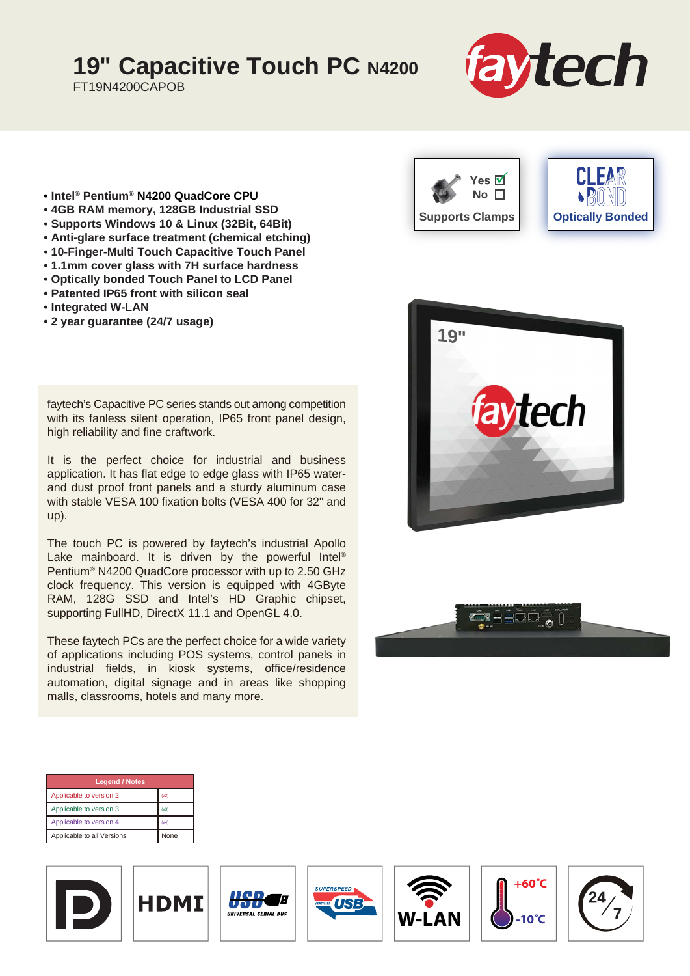## **19" Capacitive Touch PC N4200**

FT19N4200CAPOB



- **Intel® Pentium® N4200 QuadCore CPU**
- **4GB RAM memory, 128GB Industrial SSD**
- **Supports Windows 10 & Linux (32Bit, 64Bit)**
- **Anti-glare surface treatment (chemical etching)**
- **10-Finger-Multi Touch Capacitive Touch Panel**
- **1.1mm cover glass with 7H surface hardness**
- **Optically bonded Touch Panel to LCD Panel**
- **Patented IP65 front with silicon seal**
- **Integrated W-LAN**
- **2 year guarantee (24/7 usage)**

faytech's Capacitive PC series stands out among competition with its fanless silent operation, IP65 front panel design, high reliability and fine craftwork.

It is the perfect choice for industrial and business application. It has flat edge to edge glass with IP65 waterand dust proof front panels and a sturdy aluminum case with stable VESA 100 fixation bolts (VESA 400 for 32" and up).

The touch PC is powered by faytech's industrial Apollo Lake mainboard. It is driven by the powerful Intel® Pentium® N4200 QuadCore processor with up to 2.50 GHz clock frequency. This version is equipped with 4GByte RAM, 128G SSD and Intel's HD Graphic chipset, supporting FullHD, DirectX 11.1 and OpenGL 4.0.

These faytech PCs are the perfect choice for a wide variety of applications including POS systems, control panels in industrial fields, in kiosk systems, office/residence automation, digital signage and in areas like shopping malls, classrooms, hotels and many more.







| <b>Legend / Notes</b>      |             |  |  |
|----------------------------|-------------|--|--|
| Applicable to version 2    | (v2)        |  |  |
| Applicable to version 3    | (v3)        |  |  |
| Applicable to version 4    | (v4)        |  |  |
| Applicable to all Versions | <b>None</b> |  |  |











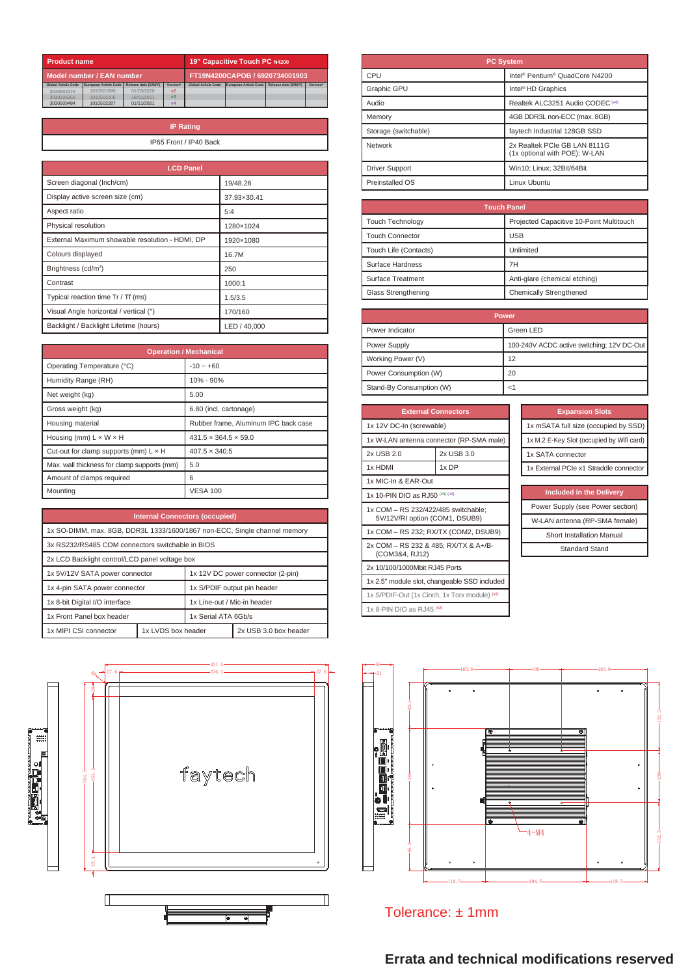| <b>Product name</b>        |                       |                      |                                |                            | <b>19" Capacitive Touch PC N4200</b> |                      |          |
|----------------------------|-----------------------|----------------------|--------------------------------|----------------------------|--------------------------------------|----------------------|----------|
| Model number / EAN number  |                       |                      | FT19N4200CAPOB / 6920734001903 |                            |                                      |                      |          |
| <b>Global Article Code</b> | European Article Code | Release date (D/M/Y) | Version*                       | <b>Global Article Code</b> | European Article Code                | Release date (D/M/Y) | Version* |
| 3030504375                 | 1010501890            | 01/03/2020           | V <sup>2</sup>                 |                            |                                      |                      |          |
| 3030506256                 | 1010502106            | 18/01/2021           | v <sub>3</sub>                 |                            |                                      |                      |          |
| 3030509484                 | 1010502287            | 01/11/2021           | V <sub>4</sub>                 |                            |                                      |                      |          |

| <b>IP Rating</b>       |
|------------------------|
| IP65 Front / IP40 Back |
|                        |

| <b>LCD Panel</b>                                |              |
|-------------------------------------------------|--------------|
| Screen diagonal (Inch/cm)                       | 19/48.26     |
| Display active screen size (cm)                 | 37.93×30.41  |
| Aspect ratio                                    | 5:4          |
| Physical resolution                             | 1280×1024    |
| External Maximum showable resolution - HDMI, DP | 1920×1080    |
| Colours displayed                               | 16.7M        |
| Brightness (cd/m <sup>2</sup> )                 | 250          |
| Contrast                                        | 1000:1       |
| Typical reaction time Tr / Tf (ms)              | 1.5/3.5      |
| Visual Angle horizontal / vertical (°)          | 170/160      |
| Backlight / Backlight Lifetime (hours)          | LED / 40,000 |

| <b>Operation / Mechanical</b>                |                                      |  |
|----------------------------------------------|--------------------------------------|--|
| Operating Temperature (°C)                   | $-10 - +60$                          |  |
| Humidity Range (RH)                          | 10% - 90%                            |  |
| Net weight (kg)                              | 5.00                                 |  |
| Gross weight (kg)                            | 6.80 (incl. cartonage)               |  |
| Housing material                             | Rubber frame, Aluminum IPC back case |  |
| Housing (mm) $L \times W \times H$           | $431.5 \times 364.5 \times 59.0$     |  |
| Cut-out for clamp supports (mm) $L \times H$ | $407.5 \times 340.5$                 |  |
| Max. wall thickness for clamp supports (mm)  | 5.0                                  |  |
| Amount of clamps required                    | 6                                    |  |
| Mountina                                     | <b>VESA 100</b>                      |  |

| <b>Internal Connectors (occupied)</b>                                     |                    |                                   |                       |
|---------------------------------------------------------------------------|--------------------|-----------------------------------|-----------------------|
| 1x SO-DIMM, max. 8GB, DDR3L 1333/1600/1867 non-ECC, Single channel memory |                    |                                   |                       |
| 3x RS232/RS485 COM connectors switchable in BIOS                          |                    |                                   |                       |
| 2x LCD Backlight control/LCD panel voltage box                            |                    |                                   |                       |
| 1x 5V/12V SATA power connector                                            |                    | 1x 12V DC power connector (2-pin) |                       |
| 1x 4-pin SATA power connector                                             |                    | 1x S/PDIF output pin header       |                       |
| 1x 8-bit Digital I/O interface                                            |                    | 1x Line-out / Mic-in header       |                       |
| 1x Front Panel box header                                                 |                    | 1x Serial ATA 6Gh/s               |                       |
| 1x MIPI CSI connector                                                     | 1x LVDS box header |                                   | 2x USB 3.0 box header |



| <b>PC System</b>      |                                                               |  |
|-----------------------|---------------------------------------------------------------|--|
| CPU                   | Intel <sup>®</sup> Pentium <sup>®</sup> QuadCore N4200        |  |
| Graphic GPU           | Intel <sup>®</sup> HD Graphics                                |  |
| Audio                 | Realtek ALC3251 Audio CODEC <sup>(v4)</sup>                   |  |
| Memory                | 4GB DDR3L non-ECC (max. 8GB)                                  |  |
| Storage (switchable)  | faytech Industrial 128GB SSD                                  |  |
| Network               | 2x Realtek PCIe GB LAN 8111G<br>(1x optional with POE); W-LAN |  |
| <b>Driver Support</b> | Win10: Linux: 32Bit/64Bit                                     |  |
| Preinstalled OS       | Linux Ubuntu                                                  |  |

| <b>Touch Panel</b>                                                  |                               |  |
|---------------------------------------------------------------------|-------------------------------|--|
| Projected Capacitive 10-Point Multitouch<br><b>Touch Technology</b> |                               |  |
| <b>Touch Connector</b>                                              | <b>USB</b>                    |  |
| Touch Life (Contacts)                                               | Unlimited                     |  |
| Surface Hardness                                                    | 7H                            |  |
| Surface Treatment                                                   | Anti-glare (chemical etching) |  |
| Glass Strengthening                                                 | Chemically Strengthened       |  |

| <b>Power</b>             |                                            |  |
|--------------------------|--------------------------------------------|--|
| Power Indicator          | Green LED                                  |  |
| Power Supply             | 100-240V ACDC active switching; 12V DC-Out |  |
| Working Power (V)        | 12                                         |  |
| Power Consumption (W)    | 20                                         |  |
| Stand-By Consumption (W) |                                            |  |

| <b>External Connectors</b>                                            |            |  |
|-----------------------------------------------------------------------|------------|--|
| 1x 12V DC-In (screwable)                                              |            |  |
| 1x W-LAN antenna connector (RP-SMA male)                              |            |  |
| 2x USB 2.0                                                            | 2x USB 3.0 |  |
| 1x HDMI                                                               | 1x DP      |  |
| 1x MIC-In & EAR-Out                                                   |            |  |
| 1x 10-PIN DIO as RJ50 (v3) (v4)                                       |            |  |
| 1x COM - RS 232/422/485 switchable;<br>5V/12V/RI option (COM1, DSUB9) |            |  |
| 1x COM - RS 232; RX/TX (COM2, DSUB9)                                  |            |  |
| 2x COM - RS 232 & 485; RX/TX & A+/B-<br>(COM3&4, RJ12)                |            |  |
| 2x 10/100/1000Mbit RJ45 Ports                                         |            |  |
| 1x 2.5" module slot, changeable SSD included                          |            |  |
| 1x S/PDIF-Out (1x Cinch, 1x Torx module) (v2)                         |            |  |
| 1x 8-PIN DIO as RJ45 (v2)                                             |            |  |

| <b>Expansion Slots</b>                    |
|-------------------------------------------|
| 1x mSATA full size (occupied by SSD)      |
| 1x M.2 E-Key Slot (occupied by Wifi card) |
| 1x SATA connector                         |
| 1x External PCIe x1 Straddle connector    |
|                                           |

| <b>Included in the Delivery</b>  |  |
|----------------------------------|--|
| Power Supply (see Power section) |  |
| W-LAN antenna (RP-SMA female)    |  |
| <b>Short Installation Manual</b> |  |
| <b>Standard Stand</b>            |  |



Tolerance: ± 1mm